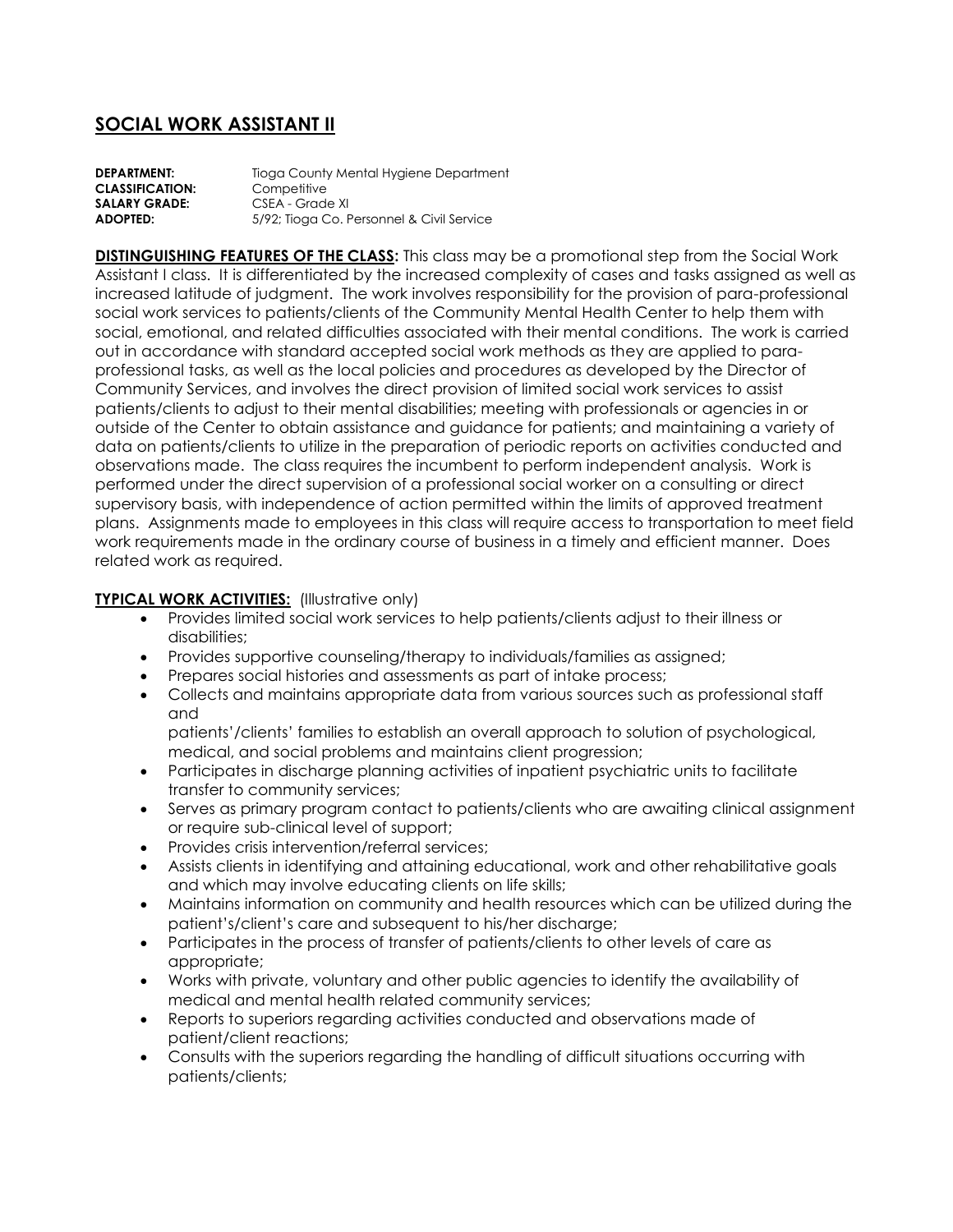# **SOCIAL WORK ASSISTANT II**

| <b>DEPARTMENT:</b>     | Tioga County Mental Hygiene Department    |
|------------------------|-------------------------------------------|
| <b>CLASSIFICATION:</b> | Competitive                               |
| <b>SALARY GRADE:</b>   | CSEA - Grade XI                           |
| ADOPTED:               | 5/92; Tioga Co. Personnel & Civil Service |

**DISTINGUISHING FEATURES OF THE CLASS:** This class may be a promotional step from the Social Work Assistant I class. It is differentiated by the increased complexity of cases and tasks assigned as well as increased latitude of judgment. The work involves responsibility for the provision of para-professional social work services to patients/clients of the Community Mental Health Center to help them with social, emotional, and related difficulties associated with their mental conditions. The work is carried out in accordance with standard accepted social work methods as they are applied to paraprofessional tasks, as well as the local policies and procedures as developed by the Director of Community Services, and involves the direct provision of limited social work services to assist patients/clients to adjust to their mental disabilities; meeting with professionals or agencies in or outside of the Center to obtain assistance and guidance for patients; and maintaining a variety of data on patients/clients to utilize in the preparation of periodic reports on activities conducted and observations made. The class requires the incumbent to perform independent analysis. Work is performed under the direct supervision of a professional social worker on a consulting or direct supervisory basis, with independence of action permitted within the limits of approved treatment plans. Assignments made to employees in this class will require access to transportation to meet field work requirements made in the ordinary course of business in a timely and efficient manner. Does related work as required.

# **TYPICAL WORK ACTIVITIES:** (Illustrative only)

- Provides limited social work services to help patients/clients adjust to their illness or disabilities;
- Provides supportive counseling/therapy to individuals/families as assigned;
- Prepares social histories and assessments as part of intake process;
- Collects and maintains appropriate data from various sources such as professional staff and

patients'/clients' families to establish an overall approach to solution of psychological, medical, and social problems and maintains client progression;

- Participates in discharge planning activities of inpatient psychiatric units to facilitate transfer to community services;
- Serves as primary program contact to patients/clients who are awaiting clinical assignment or require sub-clinical level of support;
- Provides crisis intervention/referral services;
- Assists clients in identifying and attaining educational, work and other rehabilitative goals and which may involve educating clients on life skills;
- Maintains information on community and health resources which can be utilized during the patient's/client's care and subsequent to his/her discharge;
- Participates in the process of transfer of patients/clients to other levels of care as appropriate;
- Works with private, voluntary and other public agencies to identify the availability of medical and mental health related community services;
- Reports to superiors regarding activities conducted and observations made of patient/client reactions;
- Consults with the superiors regarding the handling of difficult situations occurring with patients/clients;